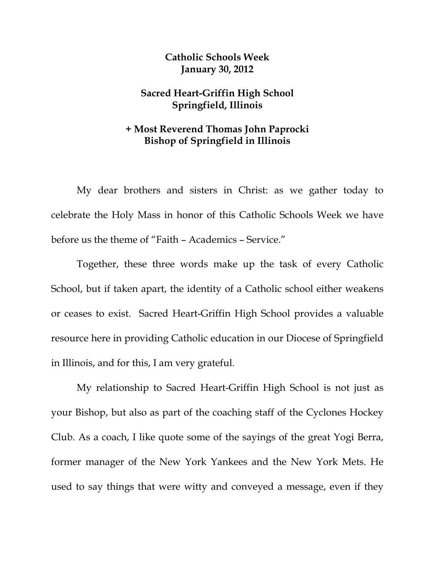## **Catholic Schools Week January 30, 2012**

## **Sacred Heart-Griffin High School Springfield, Illinois**

## **+ Most Reverend Thomas John Paprocki Bishop of Springfield in Illinois**

My dear brothers and sisters in Christ: as we gather today to celebrate the Holy Mass in honor of this Catholic Schools Week we have before us the theme of "Faith – Academics – Service."

Together, these three words make up the task of every Catholic School, but if taken apart, the identity of a Catholic school either weakens or ceases to exist. Sacred Heart-Griffin High School provides a valuable resource here in providing Catholic education in our Diocese of Springfield in Illinois, and for this, I am very grateful.

My relationship to Sacred Heart-Griffin High School is not just as your Bishop, but also as part of the coaching staff of the Cyclones Hockey Club. As a coach, I like quote some of the sayings of the great Yogi Berra, former manager of the New York Yankees and the New York Mets. He used to say things that were witty and conveyed a message, even if they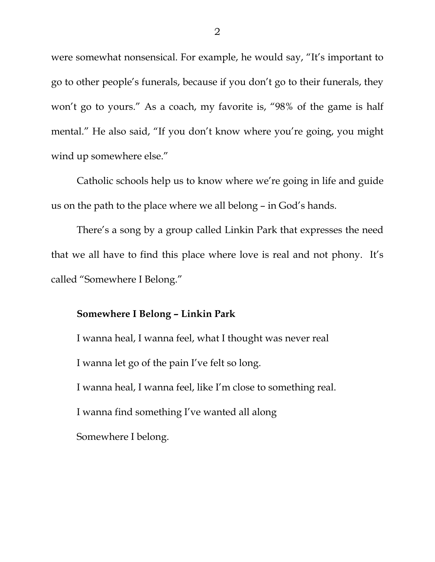were somewhat nonsensical. For example, he would say, "It's important to go to other people's funerals, because if you don't go to their funerals, they won't go to yours." As a coach, my favorite is, "98% of the game is half mental." He also said, "If you don't know where you're going, you might wind up somewhere else."

Catholic schools help us to know where we're going in life and guide us on the path to the place where we all belong – in God's hands.

There's a song by a group called Linkin Park that expresses the need that we all have to find this place where love is real and not phony. It's called "Somewhere I Belong."

## **Somewhere I Belong – Linkin Park**

I wanna heal, I wanna feel, what I thought was never real I wanna let go of the pain I've felt so long. I wanna heal, I wanna feel, like I'm close to something real. I wanna find something I've wanted all along Somewhere I belong.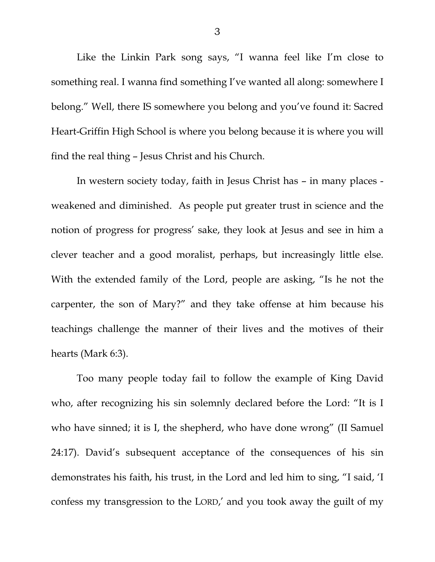Like the Linkin Park song says, "I wanna feel like I'm close to something real. I wanna find something I've wanted all along: somewhere I belong." Well, there IS somewhere you belong and you've found it: Sacred Heart-Griffin High School is where you belong because it is where you will find the real thing – Jesus Christ and his Church.

In western society today, faith in Jesus Christ has – in many places weakened and diminished. As people put greater trust in science and the notion of progress for progress' sake, they look at Jesus and see in him a clever teacher and a good moralist, perhaps, but increasingly little else. With the extended family of the Lord, people are asking, "Is he not the carpenter, the son of Mary?" and they take offense at him because his teachings challenge the manner of their lives and the motives of their hearts (Mark 6:3).

Too many people today fail to follow the example of King David who, after recognizing his sin solemnly declared before the Lord: "It is I who have sinned; it is I, the shepherd, who have done wrong" (II Samuel 24:17). David's subsequent acceptance of the consequences of his sin demonstrates his faith, his trust, in the Lord and led him to sing, "I said, 'I confess my transgression to the LORD,' and you took away the guilt of my

3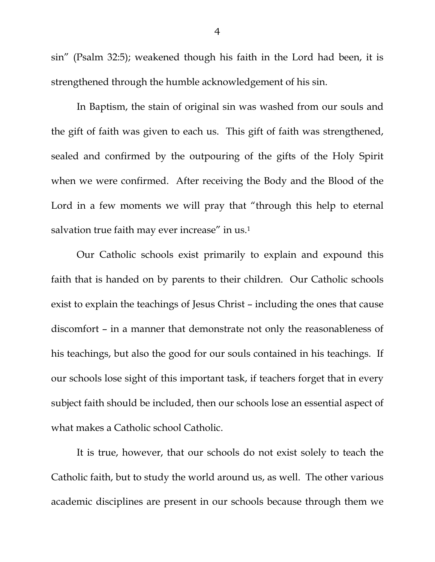sin" (Psalm 32:5); weakened though his faith in the Lord had been, it is strengthened through the humble acknowledgement of his sin.

In Baptism, the stain of original sin was washed from our souls and the gift of faith was given to each us. This gift of faith was strengthened, sealed and confirmed by the outpouring of the gifts of the Holy Spirit when we were confirmed. After receiving the Body and the Blood of the Lord in a few moments we will pray that "through this help to eternal salvation true faith may ever increase" in us.<sup>1</sup>

Our Catholic schools exist primarily to explain and expound this faith that is handed on by parents to their children. Our Catholic schools exist to explain the teachings of Jesus Christ – including the ones that cause discomfort – in a manner that demonstrate not only the reasonableness of his teachings, but also the good for our souls contained in his teachings. If our schools lose sight of this important task, if teachers forget that in every subject faith should be included, then our schools lose an essential aspect of what makes a Catholic school Catholic.

It is true, however, that our schools do not exist solely to teach the Catholic faith, but to study the world around us, as well. The other various academic disciplines are present in our schools because through them we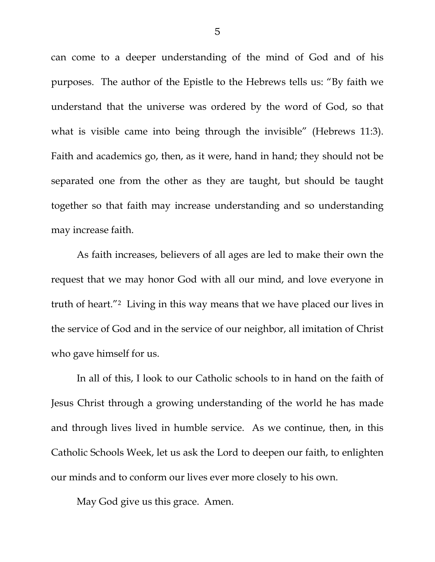can come to a deeper understanding of the mind of God and of his purposes. The author of the Epistle to the Hebrews tells us: "By faith we understand that the universe was ordered by the word of God, so that what is visible came into being through the invisible" (Hebrews 11:3). Faith and academics go, then, as it were, hand in hand; they should not be separated one from the other as they are taught, but should be taught together so that faith may increase understanding and so understanding may increase faith.

As faith increases, believers of all ages are led to make their own the request that we may honor God with all our mind, and love everyone in truth of heart."2 Living in this way means that we have placed our lives in the service of God and in the service of our neighbor, all imitation of Christ who gave himself for us.

In all of this, I look to our Catholic schools to in hand on the faith of Jesus Christ through a growing understanding of the world he has made and through lives lived in humble service. As we continue, then, in this Catholic Schools Week, let us ask the Lord to deepen our faith, to enlighten our minds and to conform our lives ever more closely to his own.

May God give us this grace. Amen.